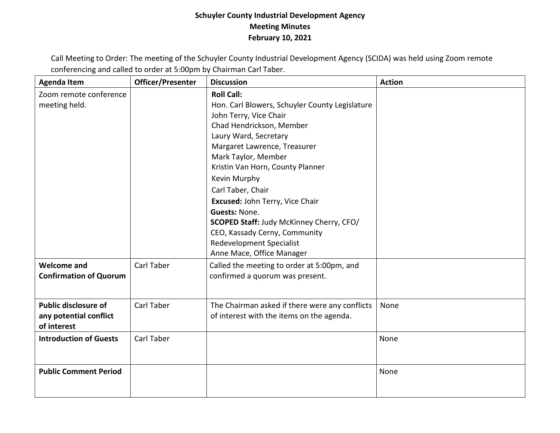## **Schuyler County Industrial Development Agency Meeting Minutes February 10, 2021**

Call Meeting to Order: The meeting of the Schuyler County Industrial Development Agency (SCIDA) was held using Zoom remote conferencing and called to order at 5:00pm by Chairman Carl Taber.

| <b>Agenda Item</b>                                                   | Officer/Presenter | <b>Discussion</b>                                                                                                                                                                                                                                                                                                                                                                                                                                                                          | <b>Action</b> |
|----------------------------------------------------------------------|-------------------|--------------------------------------------------------------------------------------------------------------------------------------------------------------------------------------------------------------------------------------------------------------------------------------------------------------------------------------------------------------------------------------------------------------------------------------------------------------------------------------------|---------------|
| Zoom remote conference<br>meeting held.                              |                   | <b>Roll Call:</b><br>Hon. Carl Blowers, Schuyler County Legislature<br>John Terry, Vice Chair<br>Chad Hendrickson, Member<br>Laury Ward, Secretary<br>Margaret Lawrence, Treasurer<br>Mark Taylor, Member<br>Kristin Van Horn, County Planner<br>Kevin Murphy<br>Carl Taber, Chair<br>Excused: John Terry, Vice Chair<br><b>Guests: None.</b><br>SCOPED Staff: Judy McKinney Cherry, CFO/<br>CEO, Kassady Cerny, Community<br><b>Redevelopment Specialist</b><br>Anne Mace, Office Manager |               |
| <b>Welcome and</b><br><b>Confirmation of Quorum</b>                  | Carl Taber        | Called the meeting to order at 5:00pm, and<br>confirmed a quorum was present.                                                                                                                                                                                                                                                                                                                                                                                                              |               |
| <b>Public disclosure of</b><br>any potential conflict<br>of interest | Carl Taber        | The Chairman asked if there were any conflicts<br>of interest with the items on the agenda.                                                                                                                                                                                                                                                                                                                                                                                                | None          |
| <b>Introduction of Guests</b>                                        | Carl Taber        |                                                                                                                                                                                                                                                                                                                                                                                                                                                                                            | None          |
| <b>Public Comment Period</b>                                         |                   |                                                                                                                                                                                                                                                                                                                                                                                                                                                                                            | None          |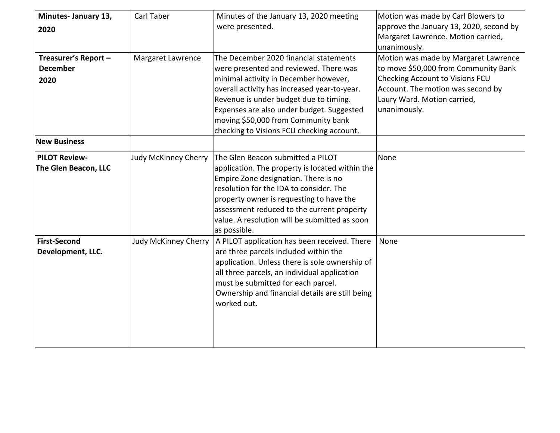| Minutes- January 13, | Carl Taber                  | Minutes of the January 13, 2020 meeting         | Motion was made by Carl Blowers to      |
|----------------------|-----------------------------|-------------------------------------------------|-----------------------------------------|
| 2020                 |                             | were presented.                                 | approve the January 13, 2020, second by |
|                      |                             |                                                 | Margaret Lawrence. Motion carried,      |
|                      |                             |                                                 | unanimously.                            |
| Treasurer's Report - | Margaret Lawrence           | The December 2020 financial statements          | Motion was made by Margaret Lawrence    |
| <b>December</b>      |                             | were presented and reviewed. There was          | to move \$50,000 from Community Bank    |
| 2020                 |                             | minimal activity in December however,           | <b>Checking Account to Visions FCU</b>  |
|                      |                             | overall activity has increased year-to-year.    | Account. The motion was second by       |
|                      |                             | Revenue is under budget due to timing.          | Laury Ward. Motion carried,             |
|                      |                             | Expenses are also under budget. Suggested       | unanimously.                            |
|                      |                             | moving \$50,000 from Community bank             |                                         |
|                      |                             | checking to Visions FCU checking account.       |                                         |
| <b>New Business</b>  |                             |                                                 |                                         |
| <b>PILOT Review-</b> | Judy McKinney Cherry        | The Glen Beacon submitted a PILOT               | None                                    |
| The Glen Beacon, LLC |                             | application. The property is located within the |                                         |
|                      |                             | Empire Zone designation. There is no            |                                         |
|                      |                             | resolution for the IDA to consider. The         |                                         |
|                      |                             | property owner is requesting to have the        |                                         |
|                      |                             | assessment reduced to the current property      |                                         |
|                      |                             | value. A resolution will be submitted as soon   |                                         |
|                      |                             | as possible.                                    |                                         |
| <b>First-Second</b>  | <b>Judy McKinney Cherry</b> | A PILOT application has been received. There    | None                                    |
| Development, LLC.    |                             | are three parcels included within the           |                                         |
|                      |                             | application. Unless there is sole ownership of  |                                         |
|                      |                             | all three parcels, an individual application    |                                         |
|                      |                             | must be submitted for each parcel.              |                                         |
|                      |                             | Ownership and financial details are still being |                                         |
|                      |                             | worked out.                                     |                                         |
|                      |                             |                                                 |                                         |
|                      |                             |                                                 |                                         |
|                      |                             |                                                 |                                         |
|                      |                             |                                                 |                                         |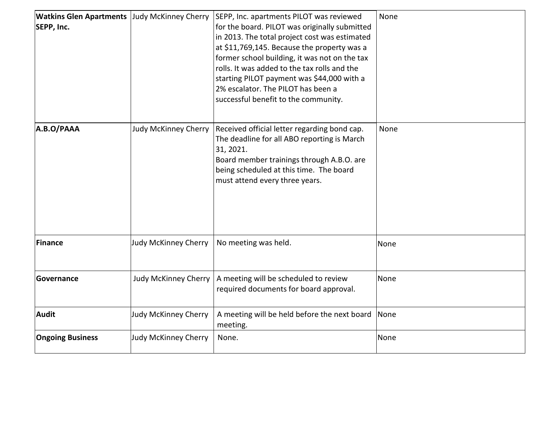| <b>Watkins Glen Apartments Judy McKinney Cherry</b><br>SEPP, Inc. |                             | SEPP, Inc. apartments PILOT was reviewed<br>for the board. PILOT was originally submitted<br>in 2013. The total project cost was estimated<br>at \$11,769,145. Because the property was a<br>former school building, it was not on the tax<br>rolls. It was added to the tax rolls and the<br>starting PILOT payment was \$44,000 with a<br>2% escalator. The PILOT has been a<br>successful benefit to the community. | None |
|-------------------------------------------------------------------|-----------------------------|------------------------------------------------------------------------------------------------------------------------------------------------------------------------------------------------------------------------------------------------------------------------------------------------------------------------------------------------------------------------------------------------------------------------|------|
| A.B.O/PAAA                                                        | <b>Judy McKinney Cherry</b> | Received official letter regarding bond cap.<br>The deadline for all ABO reporting is March<br>31, 2021.<br>Board member trainings through A.B.O. are<br>being scheduled at this time. The board<br>must attend every three years.                                                                                                                                                                                     | None |
| Finance                                                           | Judy McKinney Cherry        | No meeting was held.                                                                                                                                                                                                                                                                                                                                                                                                   | None |
| Governance                                                        | Judy McKinney Cherry        | A meeting will be scheduled to review<br>required documents for board approval.                                                                                                                                                                                                                                                                                                                                        | None |
| <b>Audit</b>                                                      | <b>Judy McKinney Cherry</b> | A meeting will be held before the next board<br>meeting.                                                                                                                                                                                                                                                                                                                                                               | None |
| <b>Ongoing Business</b>                                           | <b>Judy McKinney Cherry</b> | None.                                                                                                                                                                                                                                                                                                                                                                                                                  | None |